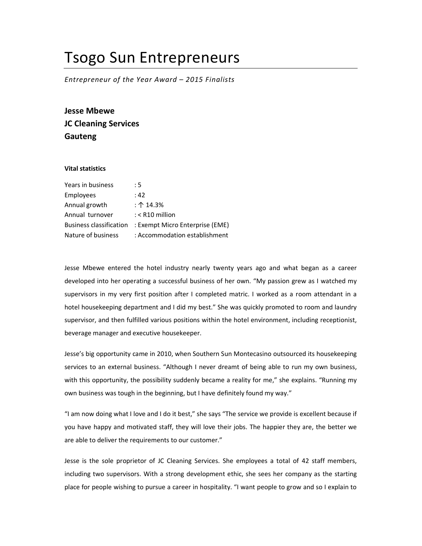## Tsogo Sun Entrepreneurs

Entrepreneur of the Year Award – 2015 Finalists

Jesse Mbewe JC Cleaning Services Gauteng

## Vital statistics

| Years in business              | : 5                             |
|--------------------------------|---------------------------------|
| <b>Employees</b>               | :42                             |
| Annual growth                  | : $\uparrow$ 14.3%              |
| Annual turnover                | $:$ < R10 million               |
| <b>Business classification</b> | : Exempt Micro Enterprise (EME) |
| Nature of business             | : Accommodation establishment   |

Jesse Mbewe entered the hotel industry nearly twenty years ago and what began as a career developed into her operating a successful business of her own. "My passion grew as I watched my supervisors in my very first position after I completed matric. I worked as a room attendant in a hotel housekeeping department and I did my best." She was quickly promoted to room and laundry supervisor, and then fulfilled various positions within the hotel environment, including receptionist, beverage manager and executive housekeeper.

Jesse's big opportunity came in 2010, when Southern Sun Montecasino outsourced its housekeeping services to an external business. "Although I never dreamt of being able to run my own business, with this opportunity, the possibility suddenly became a reality for me," she explains. "Running my own business was tough in the beginning, but I have definitely found my way."

"I am now doing what I love and I do it best," she says "The service we provide is excellent because if you have happy and motivated staff, they will love their jobs. The happier they are, the better we are able to deliver the requirements to our customer."

Jesse is the sole proprietor of JC Cleaning Services. She employees a total of 42 staff members, including two supervisors. With a strong development ethic, she sees her company as the starting place for people wishing to pursue a career in hospitality. "I want people to grow and so I explain to